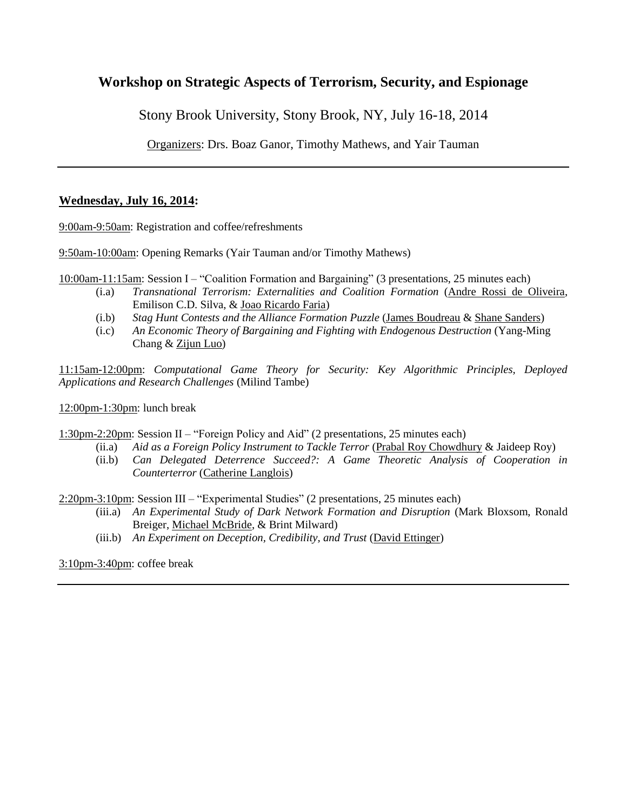## **Workshop on Strategic Aspects of Terrorism, Security, and Espionage**

Stony Brook University, Stony Brook, NY, July 16-18, 2014

Organizers: Drs. Boaz Ganor, Timothy Mathews, and Yair Tauman

## **Wednesday, July 16, 2014:**

9:00am-9:50am: Registration and coffee/refreshments

9:50am-10:00am: Opening Remarks (Yair Tauman and/or Timothy Mathews)

10:00am-11:15am: Session I – "Coalition Formation and Bargaining" (3 presentations, 25 minutes each)

- (i.a) *Transnational Terrorism: Externalities and Coalition Formation* (Andre Rossi de Oliveira, Emilison C.D. Silva, & Joao Ricardo Faria)
- (i.b) *Stag Hunt Contests and the Alliance Formation Puzzle* (James Boudreau & Shane Sanders)
- (i.c) *An Economic Theory of Bargaining and Fighting with Endogenous Destruction* (Yang-Ming Chang & Zijun Luo)

11:15am-12:00pm: *Computational Game Theory for Security: Key Algorithmic Principles, Deployed Applications and Research Challenges* (Milind Tambe)

12:00pm-1:30pm: lunch break

1:30pm-2:20pm: Session II – "Foreign Policy and Aid" (2 presentations, 25 minutes each)

- (ii.a) *Aid as a Foreign Policy Instrument to Tackle Terror* (Prabal Roy Chowdhury & Jaideep Roy)
- (ii.b) *Can Delegated Deterrence Succeed?: A Game Theoretic Analysis of Cooperation in Counterterror* (Catherine Langlois)

2:20pm-3:10pm: Session III – "Experimental Studies" (2 presentations, 25 minutes each)

- (iii.a) *An Experimental Study of Dark Network Formation and Disruption* (Mark Bloxsom, Ronald Breiger, Michael McBride, & Brint Milward)
- (iii.b) *An Experiment on Deception, Credibility, and Trust* (David Ettinger)

3:10pm-3:40pm: coffee break